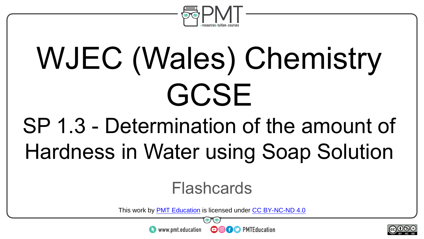

# WJEC (Wales) Chemistry GCSE

### SP 1.3 - Determination of the amount of Hardness in Water using Soap Solution

#### **Flashcards**

This work by <u>PMT Education</u> is licensed under CC BY-NC-ND 4.0<br>
www.pmt.education **in the CO CO** PMTEducation

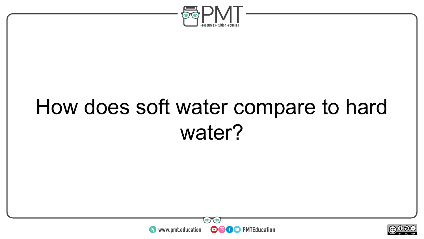

#### How does soft water compare to hard water?



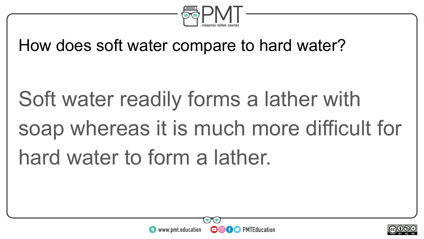

#### How does soft water compare to hard water?

# Soft water readily forms a lather with soap whereas it is much more difficult for hard water to form a lather.



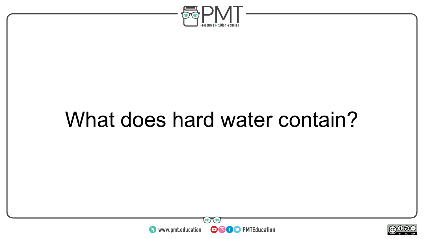

#### What does hard water contain?



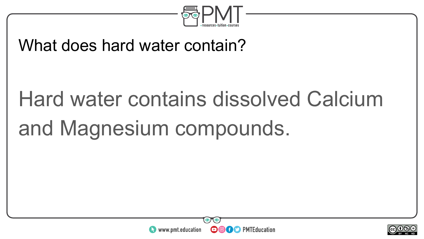

#### What does hard water contain?

## Hard water contains dissolved Calcium and Magnesium compounds.



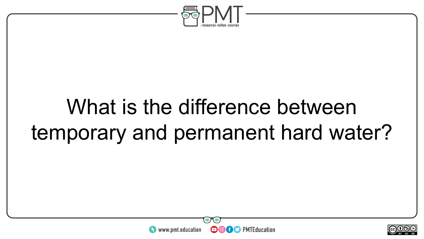

#### What is the difference between temporary and permanent hard water?



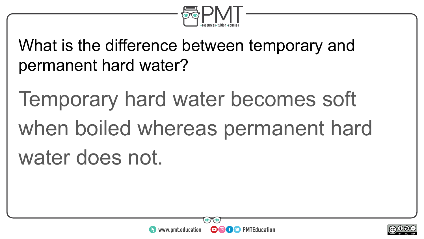

What is the difference between temporary and permanent hard water?

Temporary hard water becomes soft when boiled whereas permanent hard water does not.



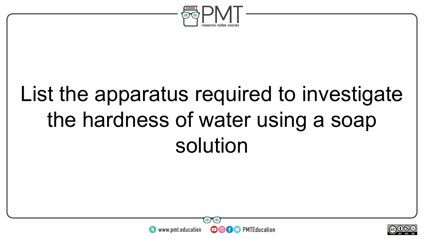

### List the apparatus required to investigate the hardness of water using a soap solution



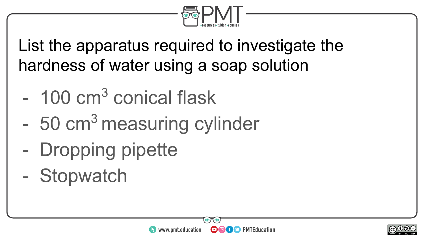

List the apparatus required to investigate the hardness of water using a soap solution

- 100 cm<sup>3</sup> conical flask
- 50 cm<sup>3</sup> measuring cylinder
- Dropping pipette
- Stopwatch



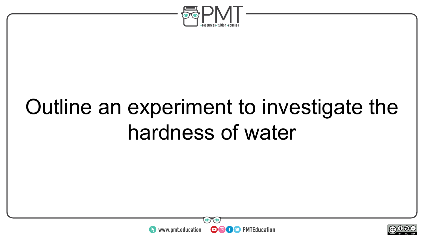

### Outline an experiment to investigate the hardness of water



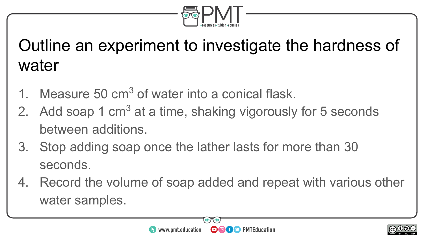

#### Outline an experiment to investigate the hardness of water

- 1. Measure  $50 \text{ cm}^3$  of water into a conical flask.
- 2. Add soap 1 cm<sup>3</sup> at a time, shaking vigorously for 5 seconds between additions.
- 3. Stop adding soap once the lather lasts for more than 30 seconds.
- 4. Record the volume of soap added and repeat with various other water samples.



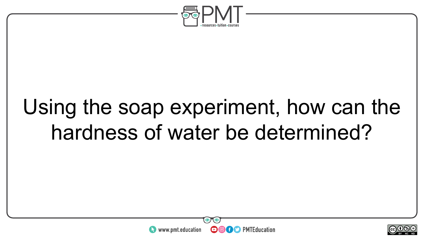

#### Using the soap experiment, how can the hardness of water be determined?



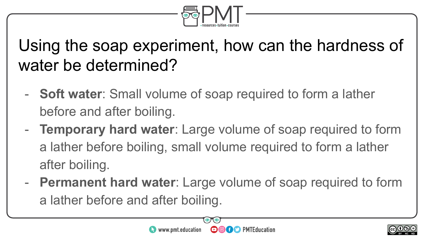

#### Using the soap experiment, how can the hardness of water be determined?

- **Soft water**: Small volume of soap required to form a lather before and after boiling.
- **Temporary hard water**: Large volume of soap required to form a lather before boiling, small volume required to form a lather after boiling.
- **Permanent hard water**: Large volume of soap required to form a lather before and after boiling.



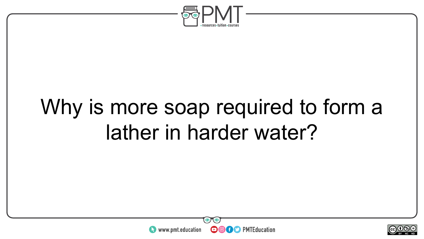

### Why is more soap required to form a lather in harder water?



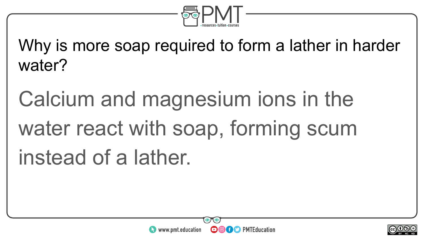

Why is more soap required to form a lather in harder water?

Calcium and magnesium ions in the water react with soap, forming scum instead of a lather.



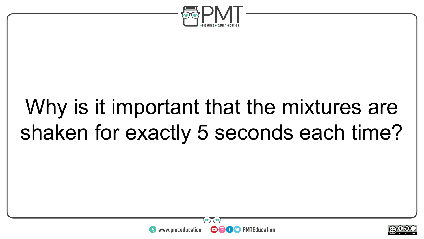

#### Why is it important that the mixtures are shaken for exactly 5 seconds each time?



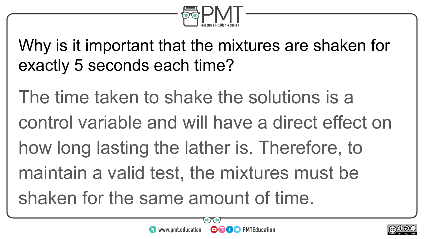

Why is it important that the mixtures are shaken for exactly 5 seconds each time?

The time taken to shake the solutions is a control variable and will have a direct effect on how long lasting the lather is. Therefore, to maintain a valid test, the mixtures must be shaken for the same amount of time.



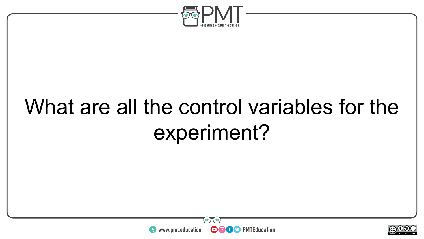

### What are all the control variables for the experiment?